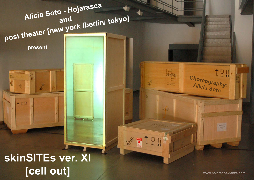# Alicia Soto - Hojarasca post theater [new york /berlin/ tokyo] present AcoArte **FT11** tilling 《書』 skinSITEs ver. XI [cell out]

www.hojarasca-danza.com

 $7.5W$ 

Choreography:<br>Alicia Soto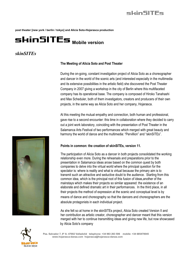#### **post theater [new york / berlin / tokyo] and Alicia Soto-Hojarasca production**

## skinSITEs Mobile version

## *skinSITEs*

## **The Meeting of Alicia Soto and Post Theater**

During the on-going, constant investigation project of Alicia Soto as a choreographer and dancer in the world of the scenic arts (and interested especially in the multimedia and its extensive possibilities in the artistic field) she discovered the Post Theater Company in 2007 giving a workshop in the city of Berlin where this multifaceted company has its operational base. The company is composed of Hiroko Tanahashi and Max Scheduler, both of them investigators, creators and producers of their own projects, in the same way as Alicia Soto and her company, Hojarasca.

At this meeting the mutual empathy and connection, both human and professional, gave rise to a second encounter: this time in collaboration where they decided to carry out a joint work laboratory, coinciding with the presentation of Post Theater in the Salamanca Arts Festival of two performances which merged with great beauty and harmony the world of dance and the multimedia: "Pervillion" and "skinSITEs".



## **Points in common: the creation of skinSITEs, version 11.**

The participation of Alicia Soto as a dancer in both projects consolidated the working relationship even more. During the rehearsals and preparations prior to the presentation in Salamanca ideas arose based on the common quest by both companies to delve into the virtual world where the principal question for the spectator is: where is reality and what is virtual because the primary aim is to transmit such an attractive and seductive doubt to the audience. Starting from this common idea, which is the principal root of this fusion of ideas,another of the mainstays which makes their projects so similar appeared: the existence of an elaborate and defined dramatic art in their performances. In the third place, in all their projects the method of expression at the scenic and conceptual level is by means of dance and choreography so that the dancers and choreographers are the absolute protagonists in each individual project.

As she felt so at home in the skinSITEs project, Alicia Soto created Version II and her contribution as artistic creator, choreographer and dancer meant that this version merged with her to continue transmitting ideas and giving new life, but now showcased by Alicia Soto's company



**Pza. Salvador 7, 8º A- 47002 Valladolid telephone: +34 983 263 506 mobile: +34 685470045 www.hojarasca-danza.com hojarasca@hojarasca-danza.com**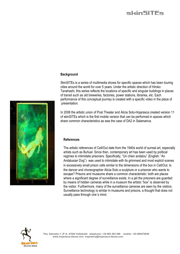## skinSITFs

## **Background**

SkinSITEs is a series of multimedia shows for specific spaces which has been touring cities around the world for over 5 years. Under the artistic direction of Hiroko Tanahashi, this series reflects the locations of specific and singular buildings in places of transit such as old breweries, factories, power stations, libraries, etc. Each performance of this conceptual journey is created with a specific video in the place of presentation.

In 2008 the artistic union of Post Theater and Alicia Soto-Hojarasca created version 11 of skinSITEs which is the first mobile version that can be performed in spaces which share common characteristics as was the case of DA2 in Salamanca.

## **References**

The artistic references of Cell/Out date from the 1940s world of surreal art, especially artists such as Buñuel. Since then, contemporary art has been used by political regimes to intimidate prisoners. Specifically, "Un chien andalou" (English: "An Andalusian Dog") was used to intimidate with its grimmest and most explicit scenes in excessively small prison cells similar to the dimensions of the box in Cell/Out. Is the dancer and choreographer Alicia Soto a sculpture or a prisoner who wants to escape? Prisons and museums share a common characteristic: both are places where a significant degree of surveillance exists. In a jail the prisoners are guarded by means of hidden cameras while in a museum the artistic "box" is observed by the visitor. Furthermore, many of the surveillance cameras are seen by the visitors. Surveillance technology is similar in museums and prisons, a thought that does not usually pass through one´s mind.



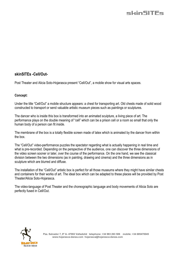

## **skinSITEs -Cell/Out-**

Post Theater and Alicia Soto-Hojarasca present "Cell/Out", a mobile show for visual arts spaces.

## **Concept:**

Under the title "Cell/Out" a mobile structure appears: a chest for transporting art. Old chests made of solid wood constructed to transport or send valuable artistic museum pieces such as paintings or sculptures.

The dancer who is inside this box is transformed into an animated sculpture, a living piece of art. The performance plays on the double meaning of "cell" which can be a prison cell or a room so small that only the human body of a person can fit inside.

The membrane of the box is a totally flexible screen made of latex which is animated by the dancer from within the box.

The "Cell/Out" video-performance puzzles the spectator regarding what is actually happening in real time and what is pre-recorded. Depending on the perspective of the audience, one can discover the three dimensions of the video screen sooner or later, over the course of the performance. On the one hand, we see the classical division between the two dimensions (as in painting, drawing and cinema) and the three dimensions as in sculpture which are blurred and diffuse.

The installation of the "Cell/Out" artistic box is perfect for all those museums where they might have similar chests and containers for their works of art. The ideal box which can be adapted to these places will be provided by Post Theater/Alicia Soto-Hojarasca.

The video-language of Post Theater and the choreographic language and body movements of Alicia Soto are perfectly fused in Cell/Out.